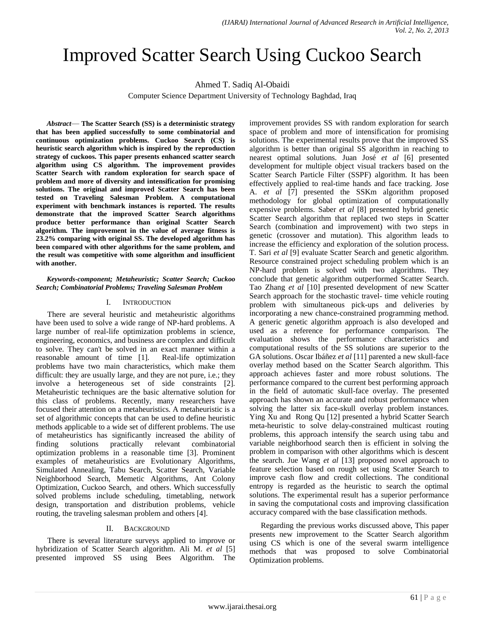# Improved Scatter Search Using Cuckoo Search

Ahmed T. Sadiq Al-Obaidi

Computer Science Department University of Technology Baghdad, Iraq

*Abstract*— **The Scatter Search (SS) is a deterministic strategy that has been applied successfully to some combinatorial and continuous optimization problems. Cuckoo Search (CS) is heuristic search algorithm which is inspired by the reproduction strategy of cuckoos. This paper presents enhanced scatter search algorithm using CS algorithm. The improvement provides Scatter Search with random exploration for search space of problem and more of diversity and intensification for promising solutions. The original and improved Scatter Search has been tested on Traveling Salesman Problem. A computational experiment with benchmark instances is reported. The results demonstrate that the improved Scatter Search algorithms produce better performance than original Scatter Search algorithm. The improvement in the value of average fitness is 23.2% comparing with original SS. The developed algorithm has been compared with other algorithms for the same problem, and the result was competitive with some algorithm and insufficient with another.**

*Keywords-component; Metaheuristic; Scatter Search; Cuckoo Search; Combinatorial Problems; Traveling Salesman Problem*

# I. INTRODUCTION

There are several heuristic and metaheuristic algorithms have been used to solve a wide range of NP-hard problems. A large number of real-life optimization problems in science, engineering, economics, and business are complex and difficult to solve. They can't be solved in an exact manner within a reasonable amount of time [1]. Real-life optimization problems have two main characteristics, which make them difficult: they are usually large, and they are not pure, i.e.; they involve a heterogeneous set of side constraints [2]. Metaheuristic techniques are the basic alternative solution for this class of problems. Recently, many researchers have focused their attention on a metaheuristics. A metaheuristic is a set of algorithmic concepts that can be used to define heuristic methods applicable to a wide set of different problems. The use of metaheuristics has significantly increased the ability of finding solutions practically relevant combinatorial optimization problems in a reasonable time [3]. Prominent examples of metaheuristics are Evolutionary Algorithms, Simulated Annealing, Tabu Search, Scatter Search, Variable Neighborhood Search, Memetic Algorithms, Ant Colony Optimization, Cuckoo Search, and others. Which successfully solved problems include scheduling, timetabling, network design, transportation and distribution problems, vehicle routing, the traveling salesman problem and others [4].

# II. BACKGROUND

There is several literature surveys applied to improve or hybridization of Scatter Search algorithm. Ali M. *et al* [5] presented improved SS using Bees Algorithm. The improvement provides SS with random exploration for search space of problem and more of intensification for promising solutions. The experimental results prove that the improved SS algorithm is better than original SS algorithm in reaching to nearest optimal solutions. Juan José *et al* [6] presented development for multiple object visual trackers based on the Scatter Search Particle Filter (SSPF) algorithm. It has been effectively applied to real-time hands and face tracking. Jose A. *et al* [7] presented the SSKm algorithm proposed methodology for global optimization of computationally expensive problems. Saber *et al* [8] presented hybrid genetic Scatter Search algorithm that replaced two steps in Scatter Search (combination and improvement) with two steps in genetic (crossover and mutation). This algorithm leads to increase the efficiency and exploration of the solution process. T. Sari *et al* [9] evaluate Scatter Search and genetic algorithm. Resource constrained project scheduling problem which is an NP-hard problem is solved with two algorithms. They conclude that genetic algorithm outperformed Scatter Search. Tao Zhang *et al* [10] presented development of new Scatter Search approach for the stochastic travel- time vehicle routing problem with simultaneous pick-ups and deliveries by incorporating a new chance-constrained programming method. A generic genetic algorithm approach is also developed and used as a reference for performance comparison. The evaluation shows the performance characteristics and computational results of the SS solutions are superior to the GA solutions. Oscar Ibáñez *et al* [11] parented a new skull-face overlay method based on the Scatter Search algorithm. This approach achieves faster and more robust solutions. The performance compared to the current best performing approach in the field of automatic skull-face overlay. The presented approach has shown an accurate and robust performance when solving the latter six face-skull overlay problem instances. Ying Xu and Rong Qu [12] presented a hybrid Scatter Search meta-heuristic to solve delay-constrained multicast routing problems, this approach intensify the search using tabu and variable neighborhood search then is efficient in solving the problem in comparison with other algorithms which is descent the search. Jue Wang *et al* [13] proposed novel approach to feature selection based on rough set using Scatter Search to improve cash flow and credit collections. The conditional entropy is regarded as the heuristic to search the optimal solutions. The experimental result has a superior performance in saving the computational costs and improving classification accuracy compared with the base classification methods.

Regarding the previous works discussed above, This paper presents new improvement to the Scatter Search algorithm using CS which is one of the several swarm intelligence methods that was proposed to solve Combinatorial Optimization problems.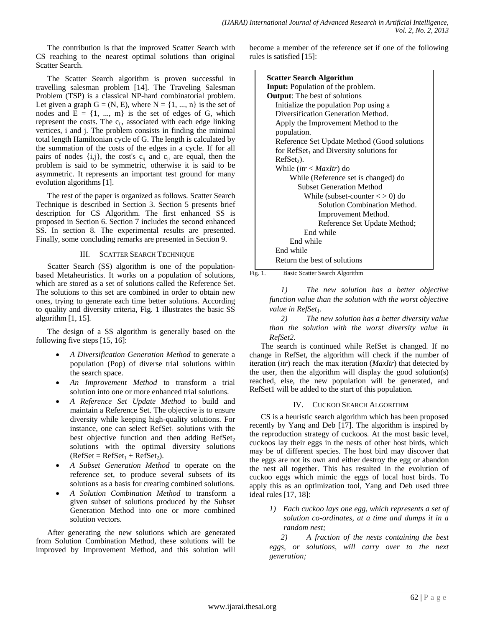The contribution is that the improved Scatter Search with CS reaching to the nearest optimal solutions than original Scatter Search.

The Scatter Search algorithm is proven successful in travelling salesman problem [14]. The Traveling Salesman Problem (TSP) is a classical NP-hard combinatorial problem. Let given a graph  $G = (N, E)$ , where  $N = \{1, ..., n\}$  is the set of nodes and  $E = \{1, ..., m\}$  is the set of edges of G, which represent the costs. The c<sub>ij</sub>, associated with each edge linking vertices, i and j. The problem consists in finding the minimal total length Hamiltonian cycle of G. The length is calculated by the summation of the costs of the edges in a cycle. If for all pairs of nodes  $\{i,j\}$ , the cost's  $c_{ij}$  and  $c_{ji}$  are equal, then the problem is said to be symmetric, otherwise it is said to be asymmetric. It represents an important test ground for many evolution algorithms [1].

The rest of the paper is organized as follows. Scatter Search Technique is described in Section 3. Section 5 presents brief description for CS Algorithm. The first enhanced SS is proposed in Section 6. Section 7 includes the second enhanced SS. In section 8. The experimental results are presented. Finally, some concluding remarks are presented in Section 9.

#### III. SCATTER SEARCH TECHNIQUE

Scatter Search (SS) algorithm is one of the populationbased Metaheuristics. It works on a population of solutions, which are stored as a set of solutions called the Reference Set. The solutions to this set are combined in order to obtain new ones, trying to generate each time better solutions. According to quality and diversity criteria, Fig. 1 illustrates the basic SS algorithm [1, 15].

The design of a SS algorithm is generally based on the following five steps [15, 16]:

- *A Diversification Generation Method* to generate a population (Pop) of diverse trial solutions within the search space.
- *An Improvement Method* to transform a trial solution into one or more enhanced trial solutions.
- *A Reference Set Update Method* to build and maintain a Reference Set. The objective is to ensure diversity while keeping high-quality solutions. For instance, one can select  $RefSet_1$  solutions with the best objective function and then adding  $RefSet_2$ solutions with the optimal diversity solutions  $(RefSet = RefSet<sub>1</sub> + RefSet<sub>2</sub>).$
- *A Subset Generation Method* to operate on the reference set, to produce several subsets of its solutions as a basis for creating combined solutions.
- *A Solution Combination Method* to transform a given subset of solutions produced by the Subset Generation Method into one or more combined solution vectors.

After generating the new solutions which are generated from Solution Combination Method, these solutions will be improved by Improvement Method, and this solution will

become a member of the reference set if one of the following rules is satisfied [15]:

| <b>Scatter Search Algorithm</b>              |
|----------------------------------------------|
| <b>Input:</b> Population of the problem.     |
| <b>Output:</b> The best of solutions         |
| Initialize the population Pop using a        |
| Diversification Generation Method.           |
| Apply the Improvement Method to the          |
| population.                                  |
| Reference Set Update Method (Good solutions  |
| for $RefSet_1$ and Diversity solutions for   |
| $RefSet_2$ ).                                |
| While $(itr < \text{MaxItr})$ do             |
| While (Reference set is changed) do          |
| <b>Subset Generation Method</b>              |
| While (subset-counter $\langle 0 \rangle$ do |
| Solution Combination Method.                 |
| Improvement Method.                          |
| Reference Set Update Method;                 |
| End while                                    |
| End while                                    |
| End while                                    |
| Return the best of solutions                 |

Fig. 1. Basic Scatter Search Algorithm

*1) The new solution has a better objective function value than the solution with the worst objective value in RefSet1.*

*2) The new solution has a better diversity value than the solution with the worst diversity value in RefSet2.* 

The search is continued while RefSet is changed. If no change in RefSet, the algorithm will check if the number of iteration (*itr*) reach the max iteration (*MaxItr*) that detected by the user, then the algorithm will display the good solution(s) reached, else, the new population will be generated, and RefSet1 will be added to the start of this population.

# IV. CUCKOO SEARCH ALGORITHM

CS is a heuristic search algorithm which has been proposed recently by Yang and Deb [17]. The algorithm is inspired by the reproduction strategy of cuckoos. At the most basic level, cuckoos lay their eggs in the nests of other host birds, which may be of different species. The host bird may discover that the eggs are not its own and either destroy the egg or abandon the nest all together. This has resulted in the evolution of cuckoo eggs which mimic the eggs of local host birds. To apply this as an optimization tool, Yang and Deb used three ideal rules [17, 18]:

*1) Each cuckoo lays one egg, which represents a set of solution co-ordinates, at a time and dumps it in a random nest;*

*2) A fraction of the nests containing the best eggs, or solutions, will carry over to the next generation;*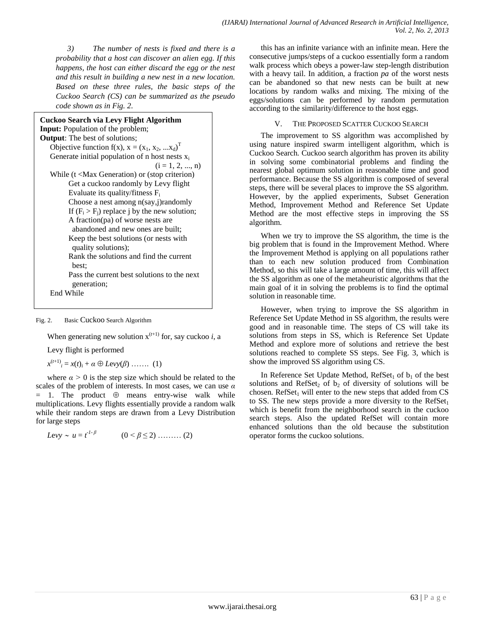*3) The number of nests is fixed and there is a probability that a host can discover an alien egg. If this happens, the host can either discard the egg or the nest and this result in building a new nest in a new location. Based on these three rules, the basic steps of the Cuckoo Search (CS) can be summarized as the pseudo code shown as in Fig. 2.*

| Cuckoo Search via Levy Flight Algorithm<br><b>Input:</b> Population of the problem;<br><b>Output:</b> The best of solutions; |
|------------------------------------------------------------------------------------------------------------------------------|
| Objective function $f(x)$ , $x = (x_1, x_2,  x_d)^T$                                                                         |
| Generate initial population of n host nests $x_i$                                                                            |
| $(i = 1, 2, , n)$                                                                                                            |
| While $(t \leq Max\, Generation)$ or (stop criterion)                                                                        |
| Get a cuckoo randomly by Levy flight                                                                                         |
| Evaluate its quality/fitness $F_i$                                                                                           |
| Choose a nest among n(say,j)randomly                                                                                         |
| If $(F_i > F_i)$ replace j by the new solution;                                                                              |
| A fraction(pa) of worse nests are<br>abandoned and new ones are built;                                                       |
| Keep the best solutions (or nests with                                                                                       |
| quality solutions);                                                                                                          |
| Rank the solutions and find the current<br>best:                                                                             |
| Pass the current best solutions to the next<br>generation;                                                                   |
| End While                                                                                                                    |

#### Fig. 2. Basic Cuckoo Search Algorithm

When generating new solution  $x^{(t+1)}$  for, say cuckoo *i*, a

Levy flight is performed

 $x^{(t+1)}$ <sub>*i*</sub> =  $x(t)$ <sub>*i*</sub> +  $\alpha \oplus Levy(\beta)$  ……. (1)

where  $\alpha > 0$  is the step size which should be related to the scales of the problem of interests. In most cases, we can use *α*   $= 1$ . The product  $\oplus$  means entry-wise walk while multiplications. Levy flights essentially provide a random walk while their random steps are drawn from a Levy Distribution for large steps

$$
Levy \sim u = t^{1-\beta}
$$
  $(0 < \beta \le 2) \dots \dots (2)$ 

this has an infinite variance with an infinite mean. Here the consecutive jumps/steps of a cuckoo essentially form a random walk process which obeys a power-law step-length distribution with a heavy tail. In addition, a fraction *pa* of the worst nests can be abandoned so that new nests can be built at new locations by random walks and mixing. The mixing of the eggs/solutions can be performed by random permutation according to the similarity/difference to the host eggs.

V. THE PROPOSED SCATTER CUCKOO SEARCH

The improvement to SS algorithm was accomplished by using nature inspired swarm intelligent algorithm, which is Cuckoo Search. Cuckoo search algorithm has proven its ability in solving some combinatorial problems and finding the nearest global optimum solution in reasonable time and good performance. Because the SS algorithm is composed of several steps, there will be several places to improve the SS algorithm. However, by the applied experiments, Subset Generation Method, Improvement Method and Reference Set Update Method are the most effective steps in improving the SS algorithm.

When we try to improve the SS algorithm, the time is the big problem that is found in the Improvement Method. Where the Improvement Method is applying on all populations rather than to each new solution produced from Combination Method, so this will take a large amount of time, this will affect the SS algorithm as one of the metaheuristic algorithms that the main goal of it in solving the problems is to find the optimal solution in reasonable time.

However, when trying to improve the SS algorithm in Reference Set Update Method in SS algorithm, the results were good and in reasonable time. The steps of CS will take its solutions from steps in SS, which is Reference Set Update Method and explore more of solutions and retrieve the best solutions reached to complete SS steps. See Fig. 3, which is show the improved SS algorithm using CS.

In Reference Set Update Method,  $RefSet<sub>1</sub>$  of  $b<sub>1</sub>$  of the best solutions and RefSet<sub>2</sub> of  $b_2$  of diversity of solutions will be chosen. RefSet<sub>1</sub> will enter to the new steps that added from  $CS$ to SS. The new steps provide a more diversity to the  $RefSet_1$ which is benefit from the neighborhood search in the cuckoo search steps. Also the updated RefSet will contain more enhanced solutions than the old because the substitution operator forms the cuckoo solutions.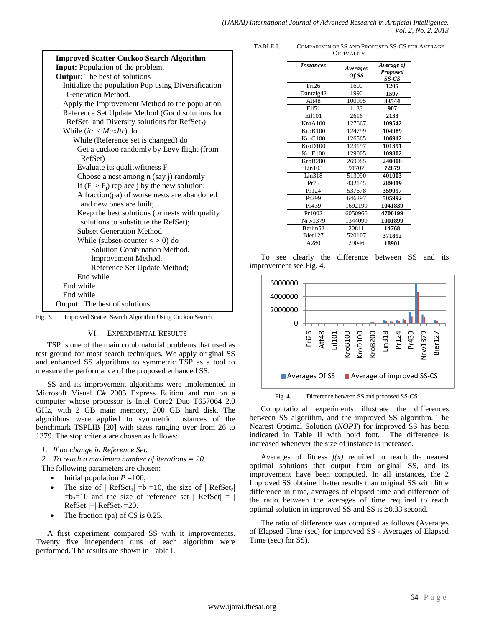| <b>Improved Scatter Cuckoo Search Algorithm</b>                           |
|---------------------------------------------------------------------------|
| <b>Input:</b> Population of the problem.                                  |
| <b>Output:</b> The best of solutions                                      |
| Initialize the population Pop using Diversification<br>Generation Method. |
| Apply the Improvement Method to the population.                           |
| Reference Set Update Method (Good solutions for                           |
| $RefSet1$ and Diversity solutions for $RefSet2$ ).                        |
| While $(itr < \text{MaxItr})$ do                                          |
| While (Reference set is changed) do                                       |
| Get a cuckoo randomly by Levy flight (from                                |
| RefSet)                                                                   |
| Evaluate its quality/fitness $F_i$                                        |
| Choose a nest among n (say j) randomly                                    |
| If $(F_i > F_j)$ replace j by the new solution;                           |
| A fraction(pa) of worse nests are abandoned                               |
| and new ones are built:                                                   |
| Keep the best solutions (or nests with quality                            |
| solutions to substitute the RefSet);                                      |
| <b>Subset Generation Method</b>                                           |
| While (subset-counter $\langle 0 \rangle$ ) do                            |
| Solution Combination Method.                                              |
| Improvement Method.                                                       |
| Reference Set Update Method;                                              |
| End while                                                                 |
| End while                                                                 |
| End while                                                                 |
| Output: The best of solutions                                             |
| Fig. 3.<br>Improved Scatter Search Algorithm Using Cuckoo Search          |

VI. EXPERIMENTAL RESULTS

TSP is one of the main combinatorial problems that used as test ground for most search techniques. We apply original SS and enhanced SS algorithms to symmetric TSP as a tool to measure the performance of the proposed enhanced SS.

SS and its improvement algorithms were implemented in Microsoft Visual C# 2005 Express Edition and run on a computer whose processor is Intel Core2 Duo T657064 2.0 GHz, with 2 GB main memory, 200 GB hard disk. The algorithms were applied to symmetric instances of the benchmark TSPLIB [20] with sizes ranging over from 26 to 1379. The stop criteria are chosen as follows:

*1. If no change in Reference Set.*

*2. To reach a maximum number of iterations = 20.* The following parameters are chosen:

- $\bullet$  Initial population  $P = 100$ ,
- The size of  $| \text{RefSet}_1 | = b_1 = 10$ , the size of  $| \text{RefSet}_2 |$  $=b_2=10$  and the size of reference set | RefSet| = |  $RefSet<sub>1</sub>|+|RefSet<sub>2</sub>|=20.$
- The fraction (pa) of CS is 0.25.

A first experiment compared SS with it improvements. Twenty five independent runs of each algorithm were performed. The results are shown in Table I.

TABLE I. COMPARISON OF SS AND PROPOSED SS-CS FOR AVERAGE **OPTIMALITY** 

| <i><b>Instances</b></i> | Averages<br>Of SS | Average of<br>Proposed<br>SS-CS |
|-------------------------|-------------------|---------------------------------|
| Fri <sub>26</sub>       | 1600              | 1205                            |
| Dantzig42               | 1990              | 1597                            |
| Att48                   | 100995            | 83544                           |
| Ei151                   | 1133              | 907                             |
| Ei1101                  | 2616              | 2133                            |
| KroA100                 | 127667            | 109542                          |
| KroB100                 | 124799            | 104989                          |
| KroC100                 | 126565            | 106912                          |
| KroD100                 | 123197            | 101391                          |
| KroE100                 | 129005            | 109802                          |
| KroB200                 | 269085            | 240008                          |
| Lin105                  | 91707             | 72879                           |
| Lin318                  | 513090            | 401003                          |
| Pr76                    | 432145            | 289019                          |
| Pr124                   | 537678            | 359097                          |
| Pr299                   | 646297            | 505992                          |
| Pr439                   | 1692199           | 1041839                         |
| Pr1002                  | 6050966           | 4700199                         |
| Nrw1379                 | 1344099           | 1001899                         |
| Berlin52                | 20811             | 14768                           |
| Bier127                 | 520107            | 371892                          |
| A280                    | 29046             | 18901                           |

To see clearly the difference between SS and its improvement see Fig. 4.



Fig. 4. Difference between SS and proposed SS-CS

Computational experiments illustrate the differences between SS algorithm, and the improved SS algorithm. The Nearest Optimal Solution (*NOPT*) for improved SS has been indicated in Table II with bold font. The difference is increased whenever the size of instance is increased.

Averages of fitness  $f(x)$  required to reach the nearest optimal solutions that output from original SS, and its improvement have been computed. In all instances, the 2 Improved SS obtained better results than original SS with little difference in time, averages of elapsed time and difference of the ratio between the averages of time required to reach optimal solution in improved SS and SS is  $\approx 0.33$  second.

The ratio of difference was computed as follows (Averages of Elapsed Time (sec) for improved SS - Averages of Elapsed Time (sec) for SS).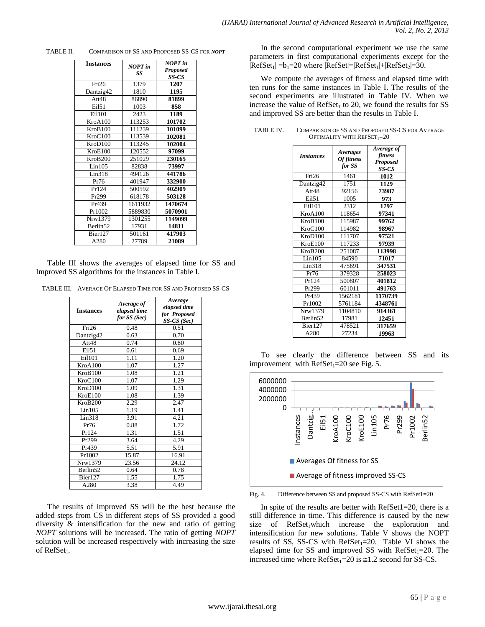TABLE II. COMPARISON OF SS AND PROPOSED SS-CS FOR *NOPT*

|         | NOPT in              |
|---------|----------------------|
|         | <b>Proposed</b>      |
|         | SS-CS                |
| 1379    | 1207                 |
| 1810    | 1195                 |
| 86890   | 81899                |
| 1003    | 858                  |
| 2423    | 1189                 |
| 113253  | 101702               |
| 111239  | 101099               |
| 113539  | 102081               |
| 113245  | 102004               |
| 120552  | 97099                |
| 251029  | 230165               |
| 82838   | 73997                |
| 494126  | 441786               |
| 401947  | 332900               |
| 500592  | 402909               |
| 618178  | 503128               |
| 1611932 | 1470674              |
| 5889830 | 5070901              |
| 1301255 | 1149099              |
| 17931   | 14811                |
| 501161  | 417903               |
| 27789   | 21089                |
|         | <b>NOPT</b> in<br>SS |

Table III shows the averages of elapsed time for SS and Improved SS algorithms for the instances in Table I.

TABLE III. AVERAGE OF ELAPSED TIME FOR SS AND PROPOSED SS-CS

| <b>Instances</b>     | Average of<br>elapsed time<br>for $SS(Sec)$ | Average<br>elapsed time<br>for Proposed<br>$SS-CS(Sec)$ |
|----------------------|---------------------------------------------|---------------------------------------------------------|
| Fri <sub>26</sub>    | 0.48                                        | 0.51                                                    |
| Dantzig42            | 0.63                                        | 0.70                                                    |
| Att48                | 0.74                                        | 0.80                                                    |
| Ei151                | 0.61                                        | 0.69                                                    |
| Ei1101               | 1.11                                        | 1.20                                                    |
| KroA100              | 1.07                                        | 1.27                                                    |
| KroB100              | 1.08                                        | 1.21                                                    |
| KroC100              | 1.07                                        | 1.29                                                    |
| KroD100              | 1.09                                        | 1.31                                                    |
| KroE100              | 1.08                                        | 1.39                                                    |
| KroB200              | 2.29                                        | 2.47                                                    |
| Lin105               | 1.19                                        | 1.41                                                    |
| Lin318               | 3.91                                        | 4.21                                                    |
| Pr76                 | 0.88                                        | 1.72                                                    |
| Pr124                | 1.31                                        | 1.51                                                    |
| Pr299                | 3.64                                        | 4.29                                                    |
| Pr439                | 5.51                                        | 5.91                                                    |
| Pr1002               | 15.87                                       | 16.91                                                   |
| Nrw1379              | 23.56                                       | 24.12                                                   |
| Berlin <sub>52</sub> | 0.64                                        | 0.78                                                    |
| Bier127              | 1.55                                        | 1.75                                                    |
| A280                 | 3.38                                        | 4.49                                                    |

The results of improved SS will be the best because the added steps from CS in different steps of SS provided a good diversity & intensification for the new and ratio of getting *NOPT* solutions will be increased. The ratio of getting *NOPT*  solution will be increased respectively with increasing the size of  $RefSet_1$ .

In the second computational experiment we use the same parameters in first computational experiments except for the  $|RefSet_1| = b_1 = 20$  where  $|RefSet| = |RefSet_1| + |RefSet_2| = 30$ .

We compute the averages of fitness and elapsed time with ten runs for the same instances in Table I. The results of the second experiments are illustrated in Table IV. When we increase the value of  $RefSet<sub>1</sub>$  to 20, we found the results for SS and improved SS are better than the results in Table I.

| <b>Instances</b>  | <i>Averages</i><br>Of fitness<br>for SS | Average of<br>fitness<br><b>Proposed</b><br>SS-CS |
|-------------------|-----------------------------------------|---------------------------------------------------|
| Fri <sub>26</sub> | 1461                                    | 1012                                              |
| Dantzig42         | 1751                                    | 1129                                              |
| Att48             | 92156                                   | 73987                                             |
| Ei151             | 1005                                    | 973                                               |
| Ei1101            | 2312                                    | 1797                                              |
| KroA100           | 118654                                  | 97341                                             |
| KroB100           | 115987                                  | 99762                                             |
| KroC100           | 114982                                  | 98967                                             |
| KroD100           | 111707                                  | 97521                                             |
| KroE100           | 117233                                  | 97939                                             |
| KroB200           | 251087                                  | 113998                                            |
| Lin105            | 84590                                   | 71017                                             |
| Lin318            | 475691                                  | 347531                                            |
| Pr76              | 379328                                  | 258023                                            |
| Pr124             | 500807                                  | 401812                                            |
| Pr299             | 601011                                  | 491763                                            |
| Pr439             | 1562181                                 | 1170739                                           |
| Pr1002            | 5761184                                 | 4348761                                           |
| Nrw1379           | 1104810                                 | 914361                                            |
| Berlin52          | 17981                                   | 12451                                             |
| Bier127           | 478521                                  | 317659                                            |
| A280              | 27234                                   | 19963                                             |

| TABLE IV. | COMPARISON OF SS AND PROPOSED SS-CS FOR AVERAGE |
|-----------|-------------------------------------------------|
|           | <b>OPTIMALITY WITH REFSET</b> <sub>1</sub> =20  |

To see clearly the difference between SS and its improvement with  $RefSet_1=20$  see Fig. 5.



Fig. 4. Difference between SS and proposed SS-CS with RefSet1=20

In spite of the results are better with  $RefSet1=20$ , there is a still difference in time. This difference is caused by the new size of  $RefSet_1$  which increase the exploration and intensification for new solutions. Table V shows the NOPT results of SS, SS-CS with  $RefSet_1=20$ . Table VI shows the elapsed time for SS and improved SS with  $RefSet_1=20$ . The increased time where  $\text{RefSet}_1 = 20$  is  $\equiv 1.2$  second for SS-CS.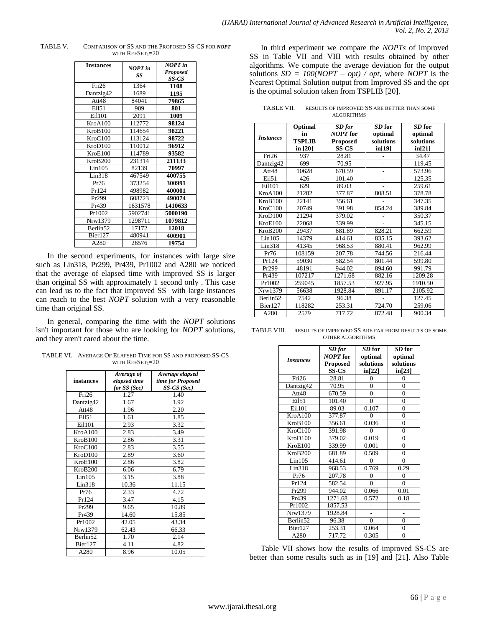| <b>Instances</b>     | <b>NOPT</b> in<br>SS | <b>NOPT</b> in<br><b>Proposed</b><br>SS-CS |
|----------------------|----------------------|--------------------------------------------|
| Fri <sub>26</sub>    | 1364                 | 1108                                       |
| Dantzig42            | 1689                 | 1195                                       |
| Att48                | 84041                | 79865                                      |
| Ei151                | 909                  | 801                                        |
| Ei1101               | 2091                 | 1009                                       |
| KroA100              | 112772               | 98124                                      |
| KroB100              | 114654               | 98221                                      |
| KroC100              | 113124               | 98722                                      |
| KroD100              | 110012               | 96912                                      |
| KroE100              | 114789               | 93582                                      |
| KroB200              | 231314               | 211133                                     |
| Lin105               | 82139                | 70997                                      |
| Lin318               | 467549               | 400755                                     |
| Pr76                 | 373254               | 300991                                     |
| Pr124                | 498982               | 400001                                     |
| Pr299                | 608723               | 490074                                     |
| Pr439                | 1631578              | 1410633                                    |
| Pr1002               | 5902741              | 5000190                                    |
| Nrw1379              | 1298711              | 1079812                                    |
| Berlin <sub>52</sub> | 17172                | 12018                                      |
| Bier127              | 480941               | 400901                                     |
| A280                 | 26576                | 19754                                      |

TABLE V. COMPARISON OF SS AND THE PROPOSED SS-CS FOR *NOPT* WITH  $REFSET_1=20$ 

In the second experiments, for instances with large size such as Lin318, Pr299, Pr439, Pr1002 and A280 we noticed that the average of elapsed time with improved SS is larger than original SS with approximately 1 second only . This case can lead us to the fact that improved SS with large instances can reach to the best *NOPT* solution with a very reasonable time than original SS.

In general, comparing the time with the *NOPT* solutions isn't important for those who are looking for *NOPT* solutions, and they aren't cared about the time.

TABLE VI. AVERAGE OF ELAPSED TIME FOR SS AND PROPOSED SS-CS WITH  $REFSET_1=20$ 

| instances            | Average of<br>elapsed time<br>for SS (Sec) | Average elapsed<br>time for Proposed<br>$SS\text{-}CS(Sec)$ |
|----------------------|--------------------------------------------|-------------------------------------------------------------|
| Tri26                | 1.27                                       | 1.40                                                        |
| Dantzig42            | 1.67                                       | 1.92                                                        |
| Att48                | 1.96                                       | 2.20                                                        |
| Ei151                | 1.61                                       | 1.85                                                        |
| Ei1101               | 2.93                                       | 3.32                                                        |
| KroA100              | 2.83                                       | 3.49                                                        |
| KroB100              | 2.86                                       | 3.31                                                        |
| KroC100              | 2.83                                       | 3.55                                                        |
| KroD100              | 2.89                                       | 3.60                                                        |
| KroE100              | 2.86                                       | 3.82                                                        |
| KroB200              | 6.06                                       | 6.79                                                        |
| Lin105               | 3.15                                       | 3.88                                                        |
| Lin318               | 10.36                                      | 11.15                                                       |
| Pr76                 | 2.33                                       | 4.72                                                        |
| Pr124                | 3.47                                       | 4.15                                                        |
| Pr299                | 9.65                                       | 10.89                                                       |
| Pr439                | 14.60                                      | 15.85                                                       |
| Pr1002               | 42.05                                      | 43.34                                                       |
| Nrw1379              | 62.43                                      | 66.33                                                       |
| Berlin <sub>52</sub> | 1.70                                       | 2.14                                                        |
| Bier127              | 4.11                                       | 4.82                                                        |
| A280                 | 8.96                                       | 10.05                                                       |

In third experiment we compare the *NOPTs* of improved SS in Table VII and VIII with results obtained by other algorithms. We compute the average deviation for the output solutions  $SD = 100(NOPT - opt) / opt$ , where *NOPT* is the Nearest Optimal Solution output from Improved SS and the *opt* is the optimal solution taken from TSPLIB [20].

TABLE VII. RESULTS OF IMPROVED SS ARE BETTER THAN SOME ALGORITHMS

|                      | Optimal<br>in | SD for<br><b>NOPT</b> for | SD for    | SD for    |
|----------------------|---------------|---------------------------|-----------|-----------|
| <i>Instances</i>     |               |                           | optimal   | optimal   |
|                      | <b>TSPLIB</b> | <b>Proposed</b>           | solutions | solutions |
|                      | in $[20]$     | <b>SS-CS</b>              | in[19]    | in[21]    |
| Fri <sub>26</sub>    | 937           | 28.81                     |           | 34.47     |
| Dantzig42            | 699           | 70.95                     |           | 119.45    |
| Att48                | 10628         | 670.59                    |           | 573.96    |
| Ei151                | 426           | 101.40                    |           | 125.35    |
| Ei1101               | 629           | 89.03                     |           | 259.61    |
| KroA100              | 21282         | 377.87                    | 808.51    | 378.78    |
| KroB100              | 22141         | 356.61                    |           | 347.35    |
| KroC100              | 20749         | 391.98                    | 854.24    | 389.84    |
| KroD100              | 21294         | 379.02                    |           | 350.37    |
| KroE100              | 22068         | 339.99                    |           | 345.15    |
| KroB200              | 29437         | 681.89                    | 828.21    | 662.59    |
| Lin105               | 14379         | 414.61                    | 835.15    | 393.62    |
| Lin318               | 41345         | 968.53                    | 880.41    | 962.99    |
| Pr76                 | 108159        | 207.78                    | 744.56    | 216.44    |
| Pr124                | 59030         | 582.54                    | 801.44    | 599.80    |
| Pr299                | 48191         | 944.02                    | 894.60    | 991.79    |
| Pr439                | 107217        | 1271.68                   | 882.16    | 1209.28   |
| Pr1002               | 259045        | 1857.53                   | 927.95    | 1910.50   |
| Nrw1379              | 56638         | 1928.84                   | 891.17    | 2105.92   |
| Berlin <sub>52</sub> | 7542          | 96.38                     |           | 127.45    |
| Bier127              | 118282        | 253.31                    | 724.70    | 259.06    |
| A280                 | 2579          | 717.72                    | 872.48    | 900.34    |

| TABLE VIII. | RESULTS OF IMPROVED SS ARE FAR FROM RESULTS OF SOME |
|-------------|-----------------------------------------------------|
|             | OTHER ALGORITHMS                                    |

| <b>Instances</b>  | SD for<br><b>NOPT</b> for | SD for         | SD for         |
|-------------------|---------------------------|----------------|----------------|
|                   |                           | optimal        | optimal        |
|                   | <b>Proposed</b>           | solutions      | solutions      |
|                   | SS-CS                     | in[22]         | in[23]         |
| Fri <sub>26</sub> | 28.81                     | $\theta$       | 0              |
| Dantzig42         | 70.95                     | $\overline{0}$ | $\overline{0}$ |
| Att48             | 670.59                    | $\overline{0}$ | $\overline{0}$ |
| Eil51             | 101.40                    | $\theta$       | $\overline{0}$ |
| Ei1101            | 89.03                     | 0.107          | $\overline{0}$ |
| KroA100           | 377.87                    | $\Omega$       | $\overline{0}$ |
| KroB100           | 356.61                    | 0.036          | $\overline{0}$ |
| KroC100           | 391.98                    | $\theta$       | $\overline{0}$ |
| KroD100           | 379.02                    | 0.019          | $\overline{0}$ |
| KroE100           | 339.99                    | 0.001          | $\overline{0}$ |
| KroB200           | 681.89                    | 0.509          | $\overline{0}$ |
| Lin105            | 414.61                    | $\theta$       | $\theta$       |
| Lin318            | 968.53                    | 0.769          | 0.29           |
| Pr76              | 207.78                    | $\theta$       | 0              |
| Pr124             | 582.54                    | $\theta$       | 0              |
| Pr299             | 944.02                    | 0.066          | 0.01           |
| Pr439             | 1271.68                   | 0.572          | 0.18           |
| Pr1002            | 1857.53                   |                |                |
| Nrw1379           | 1928.84                   |                |                |
| Berlin52          | 96.38                     | $\theta$       | 0              |
| Bier127           | 253.31                    | 0.064          | 0              |
| A280              | 717.72                    | 0.305          | $\theta$       |

Table VII shows how the results of improved SS-CS are better than some results such as in [19] and [21]. Also Table